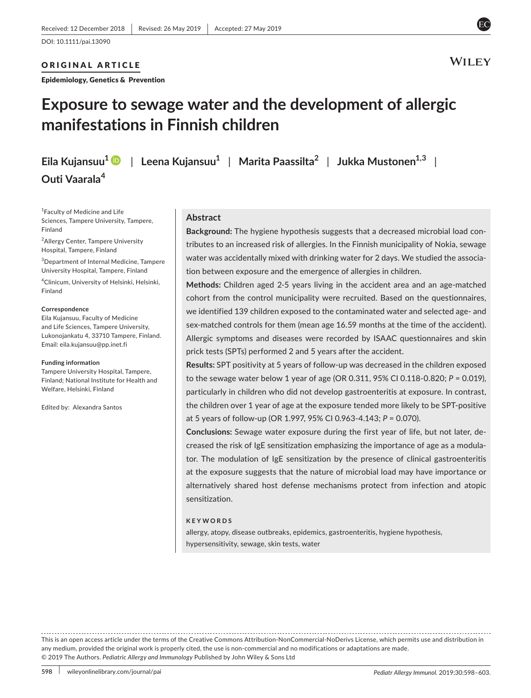## ORIGINAL ARTICLE

Epidemiology, Genetics & Prevention



# **Exposure to sewage water and the development of allergic manifestations in Finnish children**

**Outi Vaarala<sup>4</sup>**

**Eila Kujansuu[1](https://orcid.org/0000-0002-9914-8536)** | **Leena Kujansuu1** | **Marita Paassilta2** | **Jukka Mustonen1,3** |

1 Faculty of Medicine and Life Sciences, Tampere University, Tampere, Finland

<sup>2</sup> Allergy Center, Tampere University Hospital, Tampere, Finland

3 Department of Internal Medicine, Tampere University Hospital, Tampere, Finland

4 Clinicum, University of Helsinki, Helsinki, Finland

#### **Correspondence**

Eila Kujansuu, Faculty of Medicine and Life Sciences, Tampere University, Lukonojankatu 4, 33710 Tampere, Finland. Email: [eila.kujansuu@pp.inet.fi](mailto:eila.kujansuu@pp.inet.fi)

#### **Funding information**

Tampere University Hospital, Tampere, Finland; National Institute for Health and Welfare, Helsinki, Finland

Edited by: Alexandra Santos

## **Abstract**

**Background:** The hygiene hypothesis suggests that a decreased microbial load con‐ tributes to an increased risk of allergies. In the Finnish municipality of Nokia, sewage water was accidentally mixed with drinking water for 2 days. We studied the association between exposure and the emergence of allergies in children.

**Methods:** Children aged 2‐5 years living in the accident area and an age‐matched cohort from the control municipality were recruited. Based on the questionnaires, we identified 139 children exposed to the contaminated water and selected age- and sex-matched controls for them (mean age 16.59 months at the time of the accident). Allergic symptoms and diseases were recorded by ISAAC questionnaires and skin prick tests (SPTs) performed 2 and 5 years after the accident.

**Results:** SPT positivity at 5 years of follow‐up was decreased in the children exposed to the sewage water below 1 year of age (OR 0.311, 95% CI 0.118‐0.820; *P* = 0.019), particularly in children who did not develop gastroenteritis at exposure. In contrast, the children over 1 year of age at the exposure tended more likely to be SPT‐positive at 5 years of follow‐up (OR 1.997, 95% CI 0.963‐4.143; *P* = 0.070).

**Conclusions:** Sewage water exposure during the first year of life, but not later, de‐ creased the risk of IgE sensitization emphasizing the importance of age as a modula‐ tor. The modulation of IgE sensitization by the presence of clinical gastroenteritis at the exposure suggests that the nature of microbial load may have importance or alternatively shared host defense mechanisms protect from infection and atopic sensitization.

#### **KEYWORDS**

allergy, atopy, disease outbreaks, epidemics, gastroenteritis, hygiene hypothesis, hypersensitivity, sewage, skin tests, water

This is an open access article under the terms of the [Creative Commons Attribution‐NonCommercial‐NoDerivs](http://creativecommons.org/licenses/by-nc-nd/4.0/) License, which permits use and distribution in any medium, provided the original work is properly cited, the use is non-commercial and no modifications or adaptations are made. © 2019 The Authors. *Pediatric Allergy and Immunology* Published by John Wiley & Sons Ltd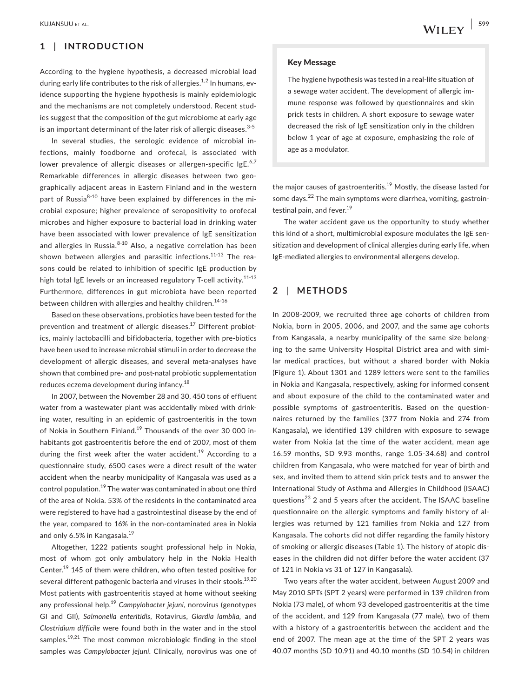# **1** | **INTRODUCTION**

According to the hygiene hypothesis, a decreased microbial load during early life contributes to the risk of allergies.<sup>1,2</sup> In humans, evidence supporting the hygiene hypothesis is mainly epidemiologic and the mechanisms are not completely understood. Recent studies suggest that the composition of the gut microbiome at early age is an important determinant of the later risk of allergic diseases.  $3-5$ 

In several studies, the serologic evidence of microbial in‐ fections, mainly foodborne and orofecal, is associated with lower prevalence of allergic diseases or allergen-specific IgE.<sup>6,7</sup> Remarkable differences in allergic diseases between two geo‐ graphically adjacent areas in Eastern Finland and in the western part of Russia $8-10$  have been explained by differences in the microbial exposure; higher prevalence of seropositivity to orofecal microbes and higher exposure to bacterial load in drinking water have been associated with lower prevalence of IgE sensitization and allergies in Russia. $8-10$  Also, a negative correlation has been shown between allergies and parasitic infections.<sup>11-13</sup> The reasons could be related to inhibition of specific IgE production by high total IgE levels or an increased regulatory T-cell activity.<sup>11-13</sup> Furthermore, differences in gut microbiota have been reported between children with allergies and healthy children.<sup>14-16</sup>

Based on these observations, probiotics have been tested for the prevention and treatment of allergic diseases.<sup>17</sup> Different probiotics, mainly lactobacilli and bifidobacteria, together with pre‐biotics have been used to increase microbial stimuli in order to decrease the development of allergic diseases, and several meta-analyses have shown that combined pre‐ and post‐natal probiotic supplementation reduces eczema development during infancy.<sup>18</sup>

In 2007, between the November 28 and 30, 450 tons of effluent water from a wastewater plant was accidentally mixed with drinking water, resulting in an epidemic of gastroenteritis in the town of Nokia in Southern Finland.<sup>19</sup> Thousands of the over 30 000 inhabitants got gastroenteritis before the end of 2007, most of them during the first week after the water accident.<sup>19</sup> According to a questionnaire study, 6500 cases were a direct result of the water accident when the nearby municipality of Kangasala was used as a control population.19 The water was contaminated in about one third of the area of Nokia. 53% of the residents in the contaminated area were registered to have had a gastrointestinal disease by the end of the year, compared to 16% in the non‐contaminated area in Nokia and only 6.5% in Kangasala.<sup>19</sup>

Altogether, 1222 patients sought professional help in Nokia, most of whom got only ambulatory help in the Nokia Health Center.19 145 of them were children, who often tested positive for several different pathogenic bacteria and viruses in their stools.<sup>19,20</sup> Most patients with gastroenteritis stayed at home without seeking any professional help.<sup>19</sup> *Campylobacter jejuni*, norovirus (genotypes GI and GII), *Salmonella enteritidis*, Rotavirus, *Giardia lamblia,* and *Clostridium difficile* were found both in the water and in the stool samples.<sup>19,21</sup> The most common microbiologic finding in the stool samples was *Campylobacter jejuni*. Clinically, norovirus was one of

#### Key Message

The hygiene hypothesis was tested in a real‐life situation of a sewage water accident. The development of allergic im‐ mune response was followed by questionnaires and skin prick tests in children. A short exposure to sewage water decreased the risk of IgE sensitization only in the children below 1 year of age at exposure, emphasizing the role of age as a modulator.

the major causes of gastroenteritis.<sup>19</sup> Mostly, the disease lasted for some days.<sup>22</sup> The main symptoms were diarrhea, vomiting, gastrointestinal pain, and fever.<sup>19</sup>

The water accident gave us the opportunity to study whether this kind of a short, multimicrobial exposure modulates the IgE sen‐ sitization and development of clinical allergies during early life, when IgE‐mediated allergies to environmental allergens develop.

# **2** | **METHODS**

In 2008‐2009, we recruited three age cohorts of children from Nokia, born in 2005, 2006, and 2007, and the same age cohorts from Kangasala, a nearby municipality of the same size belong‐ ing to the same University Hospital District area and with simi‐ lar medical practices, but without a shared border with Nokia (Figure 1). About 1301 and 1289 letters were sent to the families in Nokia and Kangasala, respectively, asking for informed consent and about exposure of the child to the contaminated water and possible symptoms of gastroenteritis. Based on the question‐ naires returned by the families (377 from Nokia and 274 from Kangasala), we identified 139 children with exposure to sewage water from Nokia (at the time of the water accident, mean age 16.59 months, SD 9.93 months, range 1.05‐34.68) and control children from Kangasala, who were matched for year of birth and sex, and invited them to attend skin prick tests and to answer the International Study of Asthma and Allergies in Childhood (ISAAC) questions<sup>23</sup> 2 and 5 years after the accident. The ISAAC baseline questionnaire on the allergic symptoms and family history of al‐ lergies was returned by 121 families from Nokia and 127 from Kangasala. The cohorts did not differ regarding the family history of smoking or allergic diseases (Table 1). The history of atopic dis‐ eases in the children did not differ before the water accident (37 of 121 in Nokia vs 31 of 127 in Kangasala).

Two years after the water accident, between August 2009 and May 2010 SPTs (SPT 2 years) were performed in 139 children from Nokia (73 male), of whom 93 developed gastroenteritis at the time of the accident, and 129 from Kangasala (77 male), two of them with a history of a gastroenteritis between the accident and the end of 2007. The mean age at the time of the SPT 2 years was 40.07 months (SD 10.91) and 40.10 months (SD 10.54) in children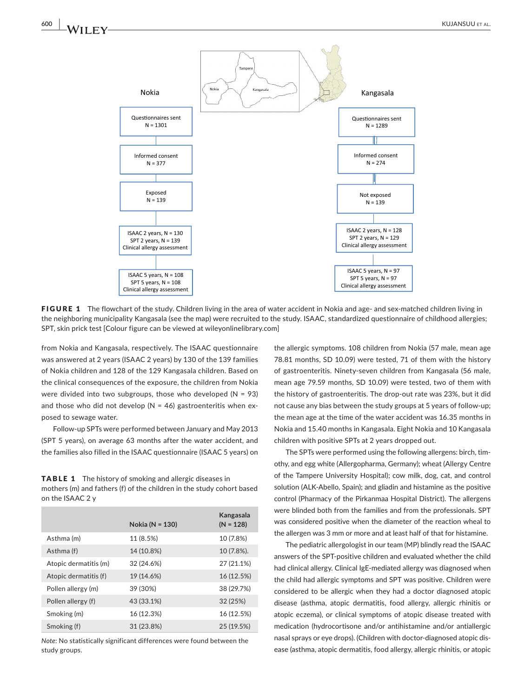

FIGURE 1 The flowchart of the study. Children living in the area of water accident in Nokia and age- and sex-matched children living in the neighboring municipality Kangasala (see the map) were recruited to the study. ISAAC, standardized questionnaire of childhood allergies; SPT, skin prick test [Colour figure can be viewed at [wileyonlinelibrary.com\]](www.wileyonlinelibrary.com)

from Nokia and Kangasala, respectively. The ISAAC questionnaire was answered at 2 years (ISAAC 2 years) by 130 of the 139 families of Nokia children and 128 of the 129 Kangasala children. Based on the clinical consequences of the exposure, the children from Nokia were divided into two subgroups, those who developed ( $N = 93$ ) and those who did not develop ( $N = 46$ ) gastroenteritis when exposed to sewage water.

Follow‐up SPTs were performed between January and May 2013 (SPT 5 years), on average 63 months after the water accident, and the families also filled in the ISAAC questionnaire (ISAAC 5 years) on

TABLE 1 The history of smoking and allergic diseases in mothers (m) and fathers (f) of the children in the study cohort based on the ISAAC 2 y

|                       | Nokia (N = 130) | Kangasala<br>$(N = 128)$ |
|-----------------------|-----------------|--------------------------|
| Asthma (m)            | 11 (8.5%)       | 10 (7.8%)                |
| Asthma (f)            | 14 (10.8%)      | 10 (7.8%).               |
| Atopic dermatitis (m) | 32 (24.6%)      | 27 (21.1%)               |
| Atopic dermatitis (f) | 19 (14.6%)      | 16 (12.5%)               |
| Pollen allergy (m)    | 39 (30%)        | 38 (29.7%)               |
| Pollen allergy (f)    | 43 (33.1%)      | 32 (25%)                 |
| Smoking (m)           | 16 (12.3%)      | 16 (12.5%)               |
| Smoking (f)           | 31 (23.8%)      | 25 (19.5%)               |

*Note*: No statistically significant differences were found between the study groups.

the allergic symptoms. 108 children from Nokia (57 male, mean age 78.81 months, SD 10.09) were tested, 71 of them with the history of gastroenteritis. Ninety‐seven children from Kangasala (56 male, mean age 79.59 months, SD 10.09) were tested, two of them with the history of gastroenteritis. The drop‐out rate was 23%, but it did not cause any bias between the study groups at 5 years of follow‐up; the mean age at the time of the water accident was 16.35 months in Nokia and 15.40 months in Kangasala. Eight Nokia and 10 Kangasala children with positive SPTs at 2 years dropped out.

The SPTs were performed using the following allergens: birch, tim‐ othy, and egg white (Allergopharma, Germany); wheat (Allergy Centre of the Tampere University Hospital); cow milk, dog, cat, and control solution (ALK‐Abello, Spain); and gliadin and histamine as the positive control (Pharmacy of the Pirkanmaa Hospital District). The allergens were blinded both from the families and from the professionals. SPT was considered positive when the diameter of the reaction wheal to the allergen was 3 mm or more and at least half of that for histamine.

The pediatric allergologist in our team (MP) blindly read the ISAAC answers of the SPT‐positive children and evaluated whether the child had clinical allergy. Clinical IgE‐mediated allergy was diagnosed when the child had allergic symptoms and SPT was positive. Children were considered to be allergic when they had a doctor diagnosed atopic disease (asthma, atopic dermatitis, food allergy, allergic rhinitis or atopic eczema), or clinical symptoms of atopic disease treated with medication (hydrocortisone and/or antihistamine and/or antiallergic nasal sprays or eye drops). (Children with doctor-diagnosed atopic disease (asthma, atopic dermatitis, food allergy, allergic rhinitis, or atopic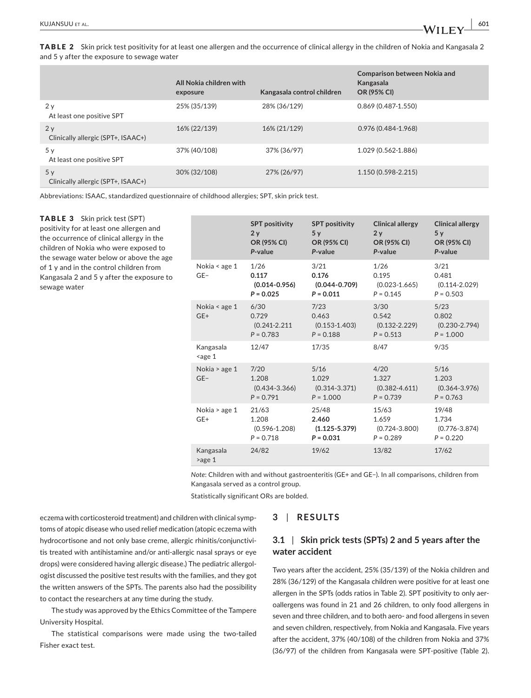TABLE 2 Skin prick test positivity for at least one allergen and the occurrence of clinical allergy in the children of Nokia and Kangasala 2 and 5 y after the exposure to sewage water

|                                          | All Nokia children with<br>exposure | Kangasala control children | <b>Comparison between Nokia and</b><br>Kangasala<br><b>OR (95% CI)</b> |
|------------------------------------------|-------------------------------------|----------------------------|------------------------------------------------------------------------|
| 2y<br>At least one positive SPT          | 25% (35/139)                        | 28% (36/129)               | $0.869(0.487 - 1.550)$                                                 |
| 2y<br>Clinically allergic (SPT+, ISAAC+) | 16% (22/139)                        | 16% (21/129)               | 0.976 (0.484-1.968)                                                    |
| 5y<br>At least one positive SPT          | 37% (40/108)                        | 37% (36/97)                | 1.029 (0.562-1.886)                                                    |
| 5y<br>Clinically allergic (SPT+, ISAAC+) | 30% (32/108)                        | 27% (26/97)                | 1.150 (0.598-2.215)                                                    |

Abbreviations: ISAAC, standardized questionnaire of childhood allergies; SPT, skin prick test.

## TABLE 3 Skin prick test (SPT) positivity for at least one allergen and the occurrence of clinical allergy in the children of Nokia who were exposed to the sewage water below or above the age of 1 y and in the control children from Kangasala 2 and 5 y after the exposure to sewage water

|                        | <b>SPT positivity</b><br>2y<br>OR (95% CI)<br>P-value | <b>SPT positivity</b><br>5v<br>OR (95% CI)<br>P-value | <b>Clinical allergy</b><br>2v<br>OR (95% CI)<br>P-value | <b>Clinical allergy</b><br>5v<br>OR (95% CI)<br>P-value |
|------------------------|-------------------------------------------------------|-------------------------------------------------------|---------------------------------------------------------|---------------------------------------------------------|
| Nokia < age 1<br>$GE-$ | 1/26<br>0.117<br>$(0.014 - 0.956)$<br>$P = 0.025$     | 3/21<br>0.176<br>$(0.044 - 0.709)$<br>$P = 0.011$     | 1/26<br>0.195<br>$(0.023 - 1.665)$<br>$P = 0.145$       | 3/21<br>0.481<br>$(0.114 - 2.029)$<br>$P = 0.503$       |
| Nokia < age 1<br>$GE+$ | 6/30<br>0.729<br>$(0.241 - 2.211)$<br>$P = 0.783$     | 7/23<br>0.463<br>$(0.153 - 1.403)$<br>$P = 0.188$     | 3/30<br>0.542<br>$(0.132 - 2.229)$<br>$P = 0.513$       | 5/23<br>0.802<br>$(0.230 - 2.794)$<br>$P = 1.000$       |
| Kangasala<br>$age 1$   | 12/47                                                 | 17/35                                                 | 8/47                                                    | 9/35                                                    |
| Nokia > age 1<br>$GE-$ | 7/20<br>1.208<br>$(0.434 - 3.366)$<br>$P = 0.791$     | 5/16<br>1.029<br>$(0.314 - 3.371)$<br>$P = 1.000$     | 4/20<br>1.327<br>$(0.382 - 4.611)$<br>$P = 0.739$       | $5/16$<br>1.203<br>$(0.364 - 3.976)$<br>$P = 0.763$     |
| Nokia > age 1<br>$GE+$ | 21/63<br>1.208<br>$(0.596 - 1.208)$<br>$P = 0.718$    | 25/48<br>2.460<br>$(1.125 - 5.379)$<br>$P = 0.031$    | 15/63<br>1.659<br>$(0.724 - 3.800)$<br>$P = 0.289$      | 19/48<br>1.734<br>$(0.776 - 3.874)$<br>$P = 0.220$      |
| Kangasala<br>$>$ age 1 | 24/82                                                 | 19/62                                                 | 13/82                                                   | 17/62                                                   |

*Note*: Children with and without gastroenteritis (GE+ and GE−). In all comparisons, children from Kangasala served as a control group.

Statistically significant ORs are bolded.

eczema with corticosteroid treatment) and children with clinical symp‐ toms of atopic disease who used relief medication (atopic eczema with hydrocortisone and not only base creme, allergic rhinitis/conjunctivi‐ tis treated with antihistamine and/or anti-allergic nasal sprays or eye drops) were considered having allergic disease.) The pediatric allergol‐ ogist discussed the positive test results with the families, and they got the written answers of the SPTs. The parents also had the possibility to contact the researchers at any time during the study.

The study was approved by the Ethics Committee of the Tampere University Hospital.

The statistical comparisons were made using the two-tailed Fisher exact test.

## **3** | **RESULTS**

# **3.1** | **Skin prick tests (SPTs) 2 and 5 years after the water accident**

Two years after the accident, 25% (35/139) of the Nokia children and 28% (36/129) of the Kangasala children were positive for at least one allergen in the SPTs (odds ratios in Table 2). SPT positivity to only aer‐ oallergens was found in 21 and 26 children, to only food allergens in seven and three children, and to both aero- and food allergens in seven and seven children, respectively, from Nokia and Kangasala. Five years after the accident, 37% (40/108) of the children from Nokia and 37% (36/97) of the children from Kangasala were SPT-positive (Table 2).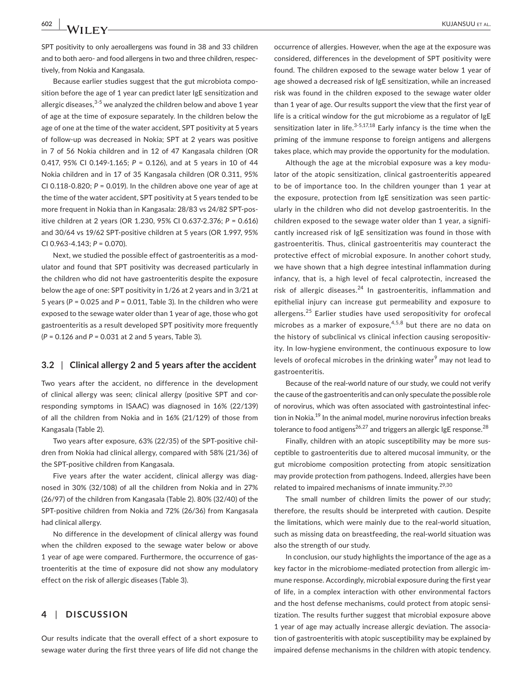tively, from Nokia and Kangasala.

SPT positivity to only aeroallergens was found in 38 and 33 children and to both aero- and food allergens in two and three children, respec-

Because earlier studies suggest that the gut microbiota composition before the age of 1 year can predict later IgE sensitization and allergic diseases,<sup>3-5</sup> we analyzed the children below and above 1 year of age at the time of exposure separately. In the children below the age of one at the time of the water accident, SPT positivity at 5 years of follow‐up was decreased in Nokia; SPT at 2 years was positive in 7 of 56 Nokia children and in 12 of 47 Kangasala children (OR 0.417, 95% CI 0.149‐1.165; *P* = 0.126), and at 5 years in 10 of 44 Nokia children and in 17 of 35 Kangasala children (OR 0.311, 95% CI 0.118‐0.820; *P* = 0.019). In the children above one year of age at the time of the water accident, SPT positivity at 5 years tended to be more frequent in Nokia than in Kangasala: 28/83 vs 24/82 SPT‐pos‐ itive children at 2 years (OR 1.230, 95% CI 0.637‐2.376; *P* = 0.616) and 30/64 vs 19/62 SPT‐positive children at 5 years (OR 1.997, 95% CI 0.963‐4.143; *P* = 0.070).

Next, we studied the possible effect of gastroenteritis as a mod‐ ulator and found that SPT positivity was decreased particularly in the children who did not have gastroenteritis despite the exposure below the age of one: SPT positivity in 1/26 at 2 years and in 3/21 at 5 years (*P* = 0.025 and *P* = 0.011, Table 3). In the children who were exposed to the sewage water older than 1 year of age, those who got gastroenteritis as a result developed SPT positivity more frequently (*P* = 0.126 and *P* = 0.031 at 2 and 5 years, Table 3).

#### **3.2** | **Clinical allergy 2 and 5 years after the accident**

Two years after the accident, no difference in the development of clinical allergy was seen; clinical allergy (positive SPT and cor‐ responding symptoms in ISAAC) was diagnosed in 16% (22/139) of all the children from Nokia and in 16% (21/129) of those from Kangasala (Table 2).

Two years after exposure, 63% (22/35) of the SPT‐positive chil‐ dren from Nokia had clinical allergy, compared with 58% (21/36) of the SPT‐positive children from Kangasala.

Five years after the water accident, clinical allergy was diagnosed in 30% (32/108) of all the children from Nokia and in 27% (26/97) of the children from Kangasala (Table 2). 80% (32/40) of the SPT-positive children from Nokia and 72% (26/36) from Kangasala had clinical allergy.

No difference in the development of clinical allergy was found when the children exposed to the sewage water below or above 1 year of age were compared. Furthermore, the occurrence of gas‐ troenteritis at the time of exposure did not show any modulatory effect on the risk of allergic diseases (Table 3).

## **4** | **DISCUSSION**

Our results indicate that the overall effect of a short exposure to sewage water during the first three years of life did not change the occurrence of allergies. However, when the age at the exposure was considered, differences in the development of SPT positivity were found. The children exposed to the sewage water below 1 year of age showed a decreased risk of IgE sensitization, while an increased risk was found in the children exposed to the sewage water older than 1 year of age. Our results support the view that the first year of life is a critical window for the gut microbiome as a regulator of IgE sensitization later in life.<sup>3-5,17,18</sup> Early infancy is the time when the priming of the immune response to foreign antigens and allergens takes place, which may provide the opportunity for the modulation.

Although the age at the microbial exposure was a key modu‐ lator of the atopic sensitization, clinical gastroenteritis appeared to be of importance too. In the children younger than 1 year at the exposure, protection from IgE sensitization was seen partic‐ ularly in the children who did not develop gastroenteritis. In the children exposed to the sewage water older than 1 year, a signifi‐ cantly increased risk of IgE sensitization was found in those with gastroenteritis. Thus, clinical gastroenteritis may counteract the protective effect of microbial exposure. In another cohort study, we have shown that a high degree intestinal inflammation during infancy, that is, a high level of fecal calprotectin, increased the risk of allergic diseases. $24$  In gastroenteritis, inflammation and epithelial injury can increase gut permeability and exposure to allergens.<sup>25</sup> Earlier studies have used seropositivity for orofecal microbes as a marker of exposure,  $4,5,8$  but there are no data on the history of subclinical vs clinical infection causing seropositiv‐ ity. In low-hygiene environment, the continuous exposure to low levels of orofecal microbes in the drinking water<sup>9</sup> may not lead to gastroenteritis.

Because of the real‐world nature of our study, we could not verify the cause of the gastroenteritis and can only speculate the possible role of norovirus, which was often associated with gastrointestinal infec‐ tion in Nokia.<sup>19</sup> In the animal model, murine norovirus infection breaks tolerance to food antigens<sup>26,27</sup> and triggers an allergic IgE response.<sup>28</sup>

Finally, children with an atopic susceptibility may be more sus‐ ceptible to gastroenteritis due to altered mucosal immunity, or the gut microbiome composition protecting from atopic sensitization may provide protection from pathogens. Indeed, allergies have been related to impaired mechanisms of innate immunity.<sup>29,30</sup>

The small number of children limits the power of our study; therefore, the results should be interpreted with caution. Despite the limitations, which were mainly due to the real‐world situation, such as missing data on breastfeeding, the real‐world situation was also the strength of our study.

In conclusion, our study highlights the importance of the age as a key factor in the microbiome‐mediated protection from allergic im‐ mune response. Accordingly, microbial exposure during the first year of life, in a complex interaction with other environmental factors and the host defense mechanisms, could protect from atopic sensi‐ tization. The results further suggest that microbial exposure above 1 year of age may actually increase allergic deviation. The associa‐ tion of gastroenteritis with atopic susceptibility may be explained by impaired defense mechanisms in the children with atopic tendency.